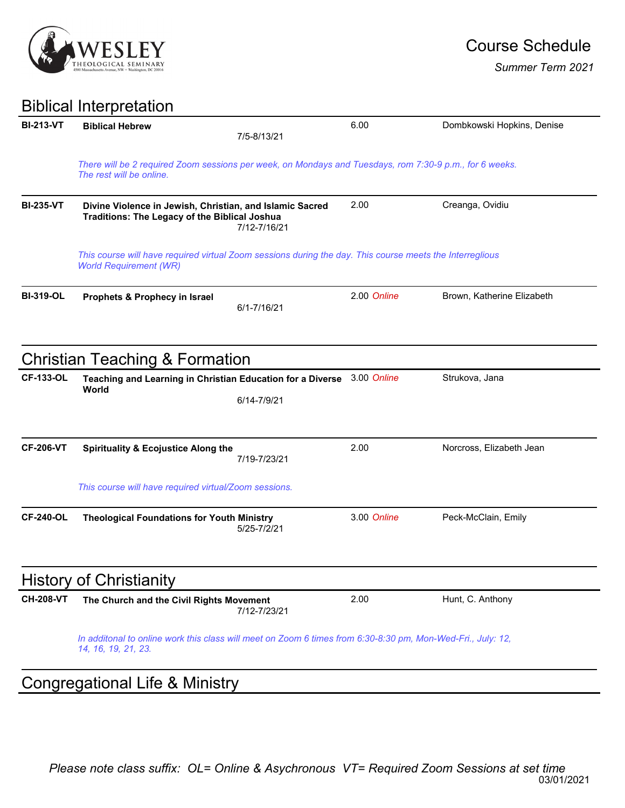

*Summer Term 2021*

## Biblical Interpretation

| <b>BI-213-VT</b> | <b>Biblical Hebrew</b>                                                                                                                    | 7/5-8/13/21  | 6.00        | Dombkowski Hopkins, Denise |  |  |  |
|------------------|-------------------------------------------------------------------------------------------------------------------------------------------|--------------|-------------|----------------------------|--|--|--|
|                  | There will be 2 required Zoom sessions per week, on Mondays and Tuesdays, rom 7:30-9 p.m., for 6 weeks.<br>The rest will be online.       |              |             |                            |  |  |  |
| <b>BI-235-VT</b> | Divine Violence in Jewish, Christian, and Islamic Sacred<br><b>Traditions: The Legacy of the Biblical Joshua</b>                          | 7/12-7/16/21 | 2.00        | Creanga, Ovidiu            |  |  |  |
|                  | This course will have required virtual Zoom sessions during the day. This course meets the Interreglious<br><b>World Requirement (WR)</b> |              |             |                            |  |  |  |
| <b>BI-319-OL</b> | Prophets & Prophecy in Israel                                                                                                             | 6/1-7/16/21  | 2.00 Online | Brown, Katherine Elizabeth |  |  |  |
|                  | <b>Christian Teaching &amp; Formation</b>                                                                                                 |              |             |                            |  |  |  |
| <b>CF-133-OL</b> | Teaching and Learning in Christian Education for a Diverse                                                                                |              | 3.00 Online | Strukova, Jana             |  |  |  |
|                  | World                                                                                                                                     | 6/14-7/9/21  |             |                            |  |  |  |
| <b>CF-206-VT</b> | <b>Spirituality &amp; Ecojustice Along the</b>                                                                                            | 7/19-7/23/21 | 2.00        | Norcross, Elizabeth Jean   |  |  |  |
|                  | This course will have required virtual/Zoom sessions.                                                                                     |              |             |                            |  |  |  |
| <b>CF-240-OL</b> | <b>Theological Foundations for Youth Ministry</b>                                                                                         | 5/25-7/2/21  | 3.00 Online | Peck-McClain, Emily        |  |  |  |
|                  | <b>History of Christianity</b>                                                                                                            |              |             |                            |  |  |  |
| <b>CH-208-VT</b> | The Church and the Civil Rights Movement                                                                                                  | 7/12-7/23/21 | 2.00        | Hunt, C. Anthony           |  |  |  |
|                  | In additonal to online work this class will meet on Zoom 6 times from 6:30-8:30 pm, Mon-Wed-Fri., July: 12,<br>14, 16, 19, 21, 23.        |              |             |                            |  |  |  |
|                  | <b>Congregational Life &amp; Ministry</b>                                                                                                 |              |             |                            |  |  |  |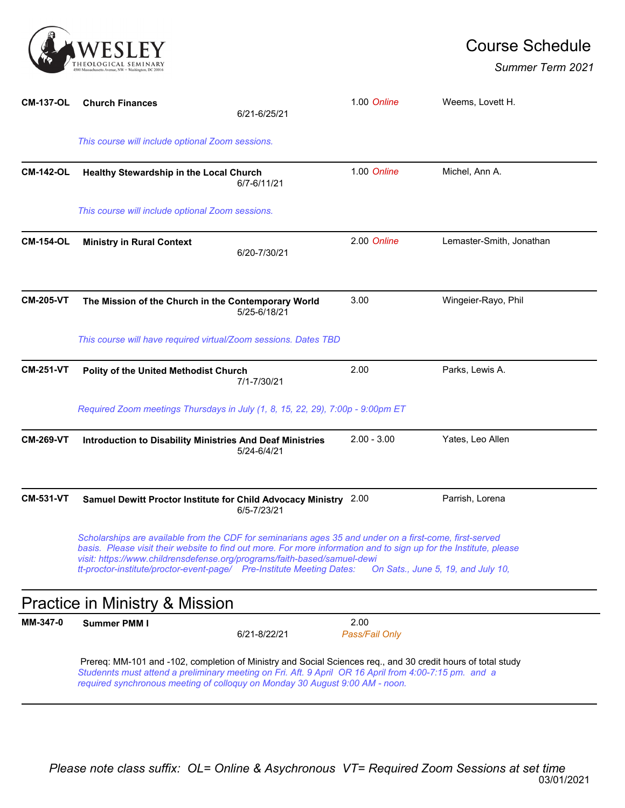

## Course Schedule

*Summer Term 2021*

| <b>CM-137-OL</b> | <b>Church Finances</b>                                                                                                                                                                                                                                                                                                                                                                                                  | 6/21-6/25/21 | 1.00 Online            | Weems, Lovett H.         |  |  |  |
|------------------|-------------------------------------------------------------------------------------------------------------------------------------------------------------------------------------------------------------------------------------------------------------------------------------------------------------------------------------------------------------------------------------------------------------------------|--------------|------------------------|--------------------------|--|--|--|
|                  | This course will include optional Zoom sessions.                                                                                                                                                                                                                                                                                                                                                                        |              |                        |                          |  |  |  |
| <b>CM-142-OL</b> | Healthy Stewardship in the Local Church                                                                                                                                                                                                                                                                                                                                                                                 | 6/7-6/11/21  | 1.00 Online            | Michel, Ann A.           |  |  |  |
|                  | This course will include optional Zoom sessions.                                                                                                                                                                                                                                                                                                                                                                        |              |                        |                          |  |  |  |
| <b>CM-154-OL</b> | <b>Ministry in Rural Context</b>                                                                                                                                                                                                                                                                                                                                                                                        | 6/20-7/30/21 | 2.00 Online            | Lemaster-Smith, Jonathan |  |  |  |
| <b>CM-205-VT</b> | The Mission of the Church in the Contemporary World                                                                                                                                                                                                                                                                                                                                                                     | 5/25-6/18/21 | 3.00                   | Wingeier-Rayo, Phil      |  |  |  |
|                  | This course will have required virtual/Zoom sessions. Dates TBD                                                                                                                                                                                                                                                                                                                                                         |              |                        |                          |  |  |  |
| <b>CM-251-VT</b> | Polity of the United Methodist Church                                                                                                                                                                                                                                                                                                                                                                                   | 7/1-7/30/21  | 2.00                   | Parks, Lewis A.          |  |  |  |
|                  | Required Zoom meetings Thursdays in July (1, 8, 15, 22, 29), 7:00p - 9:00pm ET                                                                                                                                                                                                                                                                                                                                          |              |                        |                          |  |  |  |
| <b>CM-269-VT</b> | <b>Introduction to Disability Ministries And Deaf Ministries</b>                                                                                                                                                                                                                                                                                                                                                        | 5/24-6/4/21  | $2.00 - 3.00$          | Yates, Leo Allen         |  |  |  |
| <b>CM-531-VT</b> | Samuel Dewitt Proctor Institute for Child Advocacy Ministry 2.00                                                                                                                                                                                                                                                                                                                                                        | 6/5-7/23/21  |                        | Parrish, Lorena          |  |  |  |
|                  | Scholarships are available from the CDF for seminarians ages 35 and under on a first-come, first-served<br>basis. Please visit their website to find out more. For more information and to sign up for the Institute, please<br>visit: https://www.childrensdefense.org/programs/faith-based/samuel-dewi<br>tt-proctor-institute/proctor-event-page/ Pre-Institute Meeting Dates:<br>On Sats., June 5, 19, and July 10, |              |                        |                          |  |  |  |
|                  | Practice in Ministry & Mission                                                                                                                                                                                                                                                                                                                                                                                          |              |                        |                          |  |  |  |
| MM-347-0         | <b>Summer PMM I</b>                                                                                                                                                                                                                                                                                                                                                                                                     | 6/21-8/22/21 | 2.00<br>Pass/Fail Only |                          |  |  |  |
|                  | Prereq: MM-101 and -102, completion of Ministry and Social Sciences req., and 30 credit hours of total study<br>Studennts must attend a preliminary meeting on Fri. Aft. 9 April OR 16 April from 4:00-7:15 pm. and a<br>required synchronous meeting of colloquy on Monday 30 August 9:00 AM - noon.                                                                                                                   |              |                        |                          |  |  |  |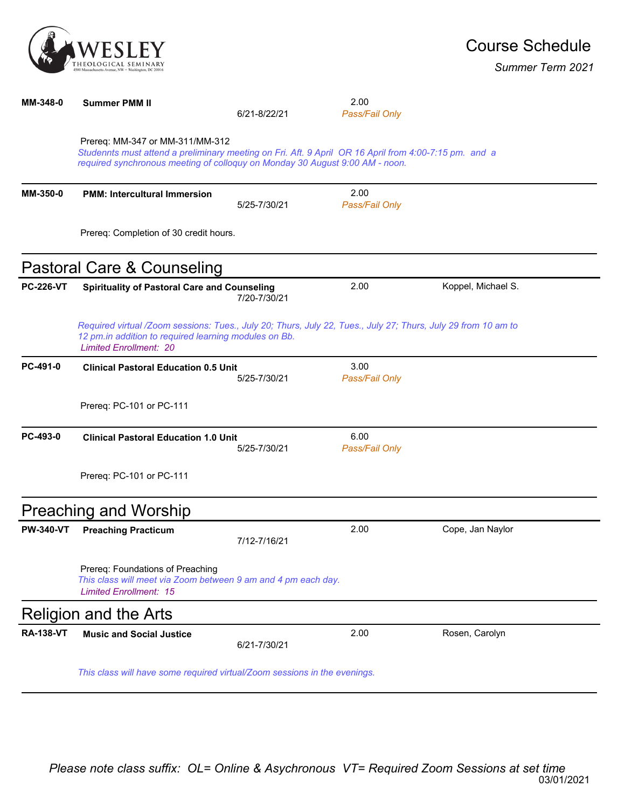